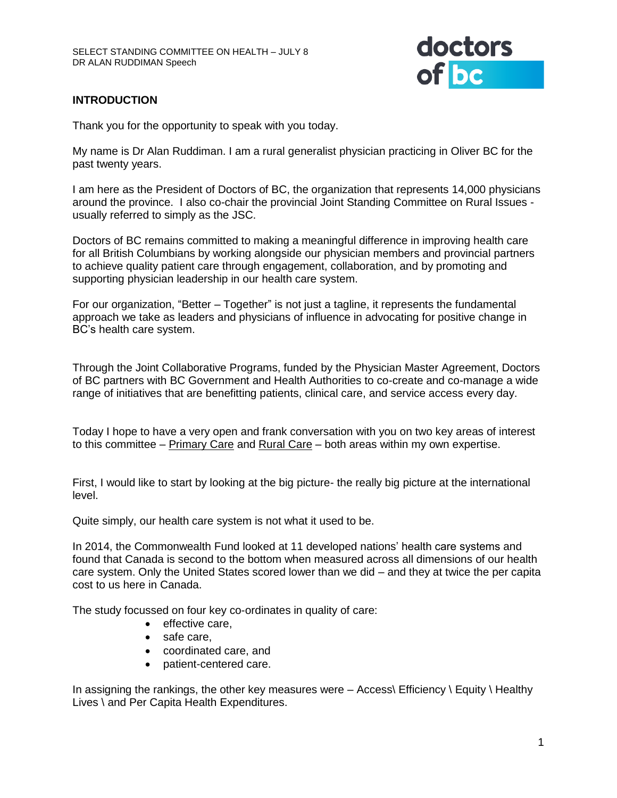

# **INTRODUCTION**

Thank you for the opportunity to speak with you today.

My name is Dr Alan Ruddiman. I am a rural generalist physician practicing in Oliver BC for the past twenty years.

I am here as the President of Doctors of BC, the organization that represents 14,000 physicians around the province. I also co-chair the provincial Joint Standing Committee on Rural Issues usually referred to simply as the JSC.

Doctors of BC remains committed to making a meaningful difference in improving health care for all British Columbians by working alongside our physician members and provincial partners to achieve quality patient care through engagement, collaboration, and by promoting and supporting physician leadership in our health care system.

For our organization, "Better – Together" is not just a tagline, it represents the fundamental approach we take as leaders and physicians of influence in advocating for positive change in BC's health care system.

Through the Joint Collaborative Programs, funded by the Physician Master Agreement, Doctors of BC partners with BC Government and Health Authorities to co-create and co-manage a wide range of initiatives that are benefitting patients, clinical care, and service access every day.

Today I hope to have a very open and frank conversation with you on two key areas of interest to this committee – Primary Care and Rural Care – both areas within my own expertise.

First, I would like to start by looking at the big picture- the really big picture at the international level.

Quite simply, our health care system is not what it used to be.

In 2014, the Commonwealth Fund looked at 11 developed nations' health care systems and found that Canada is second to the bottom when measured across all dimensions of our health care system. Only the United States scored lower than we did – and they at twice the per capita cost to us here in Canada.

The study focussed on four key co-ordinates in quality of care:

- effective care,
- safe care,
- coordinated care, and
- patient-centered care.

In assigning the rankings, the other key measures were  $-$  Access Efficiency  $\setminus$  Equity  $\setminus$  Healthy Lives \ and Per Capita Health Expenditures.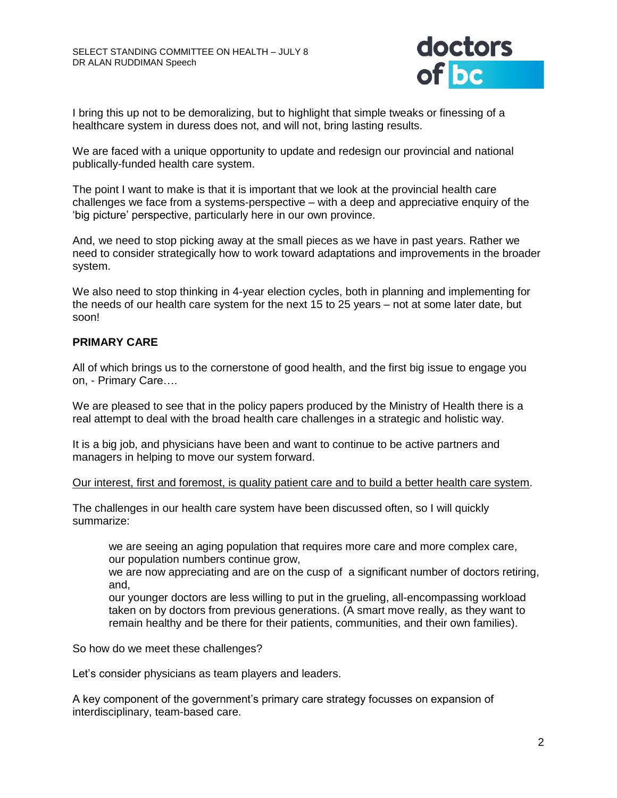

I bring this up not to be demoralizing, but to highlight that simple tweaks or finessing of a healthcare system in duress does not, and will not, bring lasting results.

We are faced with a unique opportunity to update and redesign our provincial and national publically-funded health care system.

The point I want to make is that it is important that we look at the provincial health care challenges we face from a systems-perspective – with a deep and appreciative enquiry of the 'big picture' perspective, particularly here in our own province.

And, we need to stop picking away at the small pieces as we have in past years. Rather we need to consider strategically how to work toward adaptations and improvements in the broader system.

We also need to stop thinking in 4-year election cycles, both in planning and implementing for the needs of our health care system for the next 15 to 25 years – not at some later date, but soon!

### **PRIMARY CARE**

All of which brings us to the cornerstone of good health, and the first big issue to engage you on, - Primary Care….

We are pleased to see that in the policy papers produced by the Ministry of Health there is a real attempt to deal with the broad health care challenges in a strategic and holistic way.

It is a big job, and physicians have been and want to continue to be active partners and managers in helping to move our system forward.

#### Our interest, first and foremost, is quality patient care and to build a better health care system.

The challenges in our health care system have been discussed often, so I will quickly summarize:

we are seeing an aging population that requires more care and more complex care, our population numbers continue grow,

we are now appreciating and are on the cusp of a significant number of doctors retiring, and,

our younger doctors are less willing to put in the grueling, all-encompassing workload taken on by doctors from previous generations. (A smart move really, as they want to remain healthy and be there for their patients, communities, and their own families).

So how do we meet these challenges?

Let's consider physicians as team players and leaders.

A key component of the government's primary care strategy focusses on expansion of interdisciplinary, team-based care.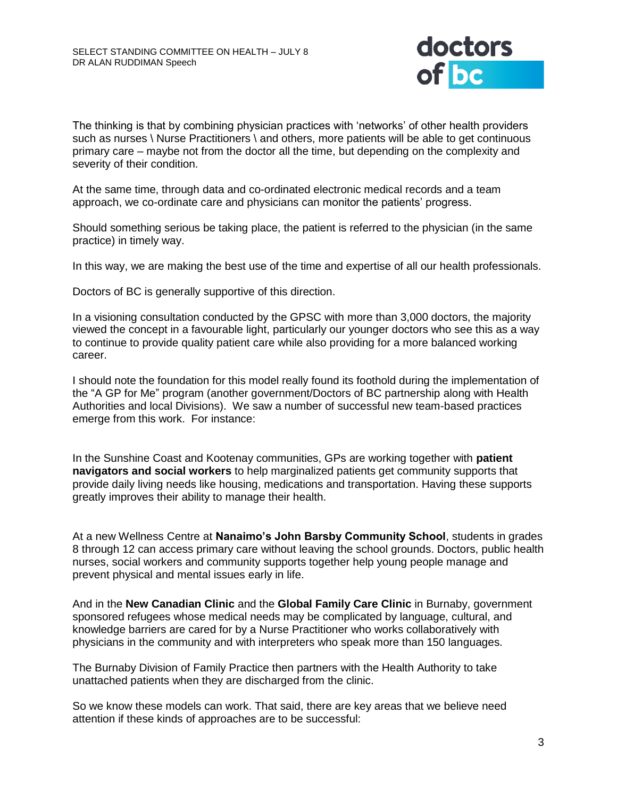

The thinking is that by combining physician practices with 'networks' of other health providers such as nurses \ Nurse Practitioners \ and others, more patients will be able to get continuous primary care – maybe not from the doctor all the time, but depending on the complexity and severity of their condition.

At the same time, through data and co-ordinated electronic medical records and a team approach, we co-ordinate care and physicians can monitor the patients' progress.

Should something serious be taking place, the patient is referred to the physician (in the same practice) in timely way.

In this way, we are making the best use of the time and expertise of all our health professionals.

Doctors of BC is generally supportive of this direction.

In a visioning consultation conducted by the GPSC with more than 3,000 doctors, the majority viewed the concept in a favourable light, particularly our younger doctors who see this as a way to continue to provide quality patient care while also providing for a more balanced working career.

I should note the foundation for this model really found its foothold during the implementation of the "A GP for Me" program (another government/Doctors of BC partnership along with Health Authorities and local Divisions). We saw a number of successful new team-based practices emerge from this work. For instance:

In the Sunshine Coast and Kootenay communities, GPs are working together with **patient navigators and social workers** to help marginalized patients get community supports that provide daily living needs like housing, medications and transportation. Having these supports greatly improves their ability to manage their health.

At a new Wellness Centre at **Nanaimo's John Barsby Community School**, students in grades 8 through 12 can access primary care without leaving the school grounds. Doctors, public health nurses, social workers and community supports together help young people manage and prevent physical and mental issues early in life.

And in the **New Canadian Clinic** and the **Global Family Care Clinic** in Burnaby, government sponsored refugees whose medical needs may be complicated by language, cultural, and knowledge barriers are cared for by a Nurse Practitioner who works collaboratively with physicians in the community and with interpreters who speak more than 150 languages.

The Burnaby Division of Family Practice then partners with the Health Authority to take unattached patients when they are discharged from the clinic.

So we know these models can work. That said, there are key areas that we believe need attention if these kinds of approaches are to be successful: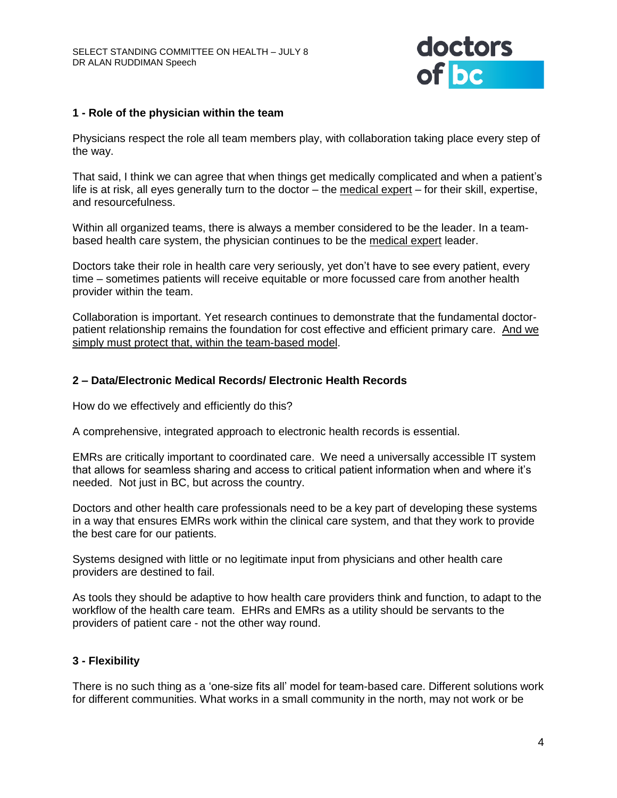

## **1 - Role of the physician within the team**

Physicians respect the role all team members play, with collaboration taking place every step of the way.

That said, I think we can agree that when things get medically complicated and when a patient's life is at risk, all eyes generally turn to the doctor – the medical expert – for their skill, expertise, and resourcefulness.

Within all organized teams, there is always a member considered to be the leader. In a teambased health care system, the physician continues to be the medical expert leader.

Doctors take their role in health care very seriously, yet don't have to see every patient, every time – sometimes patients will receive equitable or more focussed care from another health provider within the team.

Collaboration is important. Yet research continues to demonstrate that the fundamental doctorpatient relationship remains the foundation for cost effective and efficient primary care. And we simply must protect that, within the team-based model.

### **2 – Data/Electronic Medical Records/ Electronic Health Records**

How do we effectively and efficiently do this?

A comprehensive, integrated approach to electronic health records is essential.

EMRs are critically important to coordinated care. We need a universally accessible IT system that allows for seamless sharing and access to critical patient information when and where it's needed. Not just in BC, but across the country.

Doctors and other health care professionals need to be a key part of developing these systems in a way that ensures EMRs work within the clinical care system, and that they work to provide the best care for our patients.

Systems designed with little or no legitimate input from physicians and other health care providers are destined to fail.

As tools they should be adaptive to how health care providers think and function, to adapt to the workflow of the health care team. EHRs and EMRs as a utility should be servants to the providers of patient care - not the other way round.

## **3 - Flexibility**

There is no such thing as a 'one-size fits all' model for team-based care. Different solutions work for different communities. What works in a small community in the north, may not work or be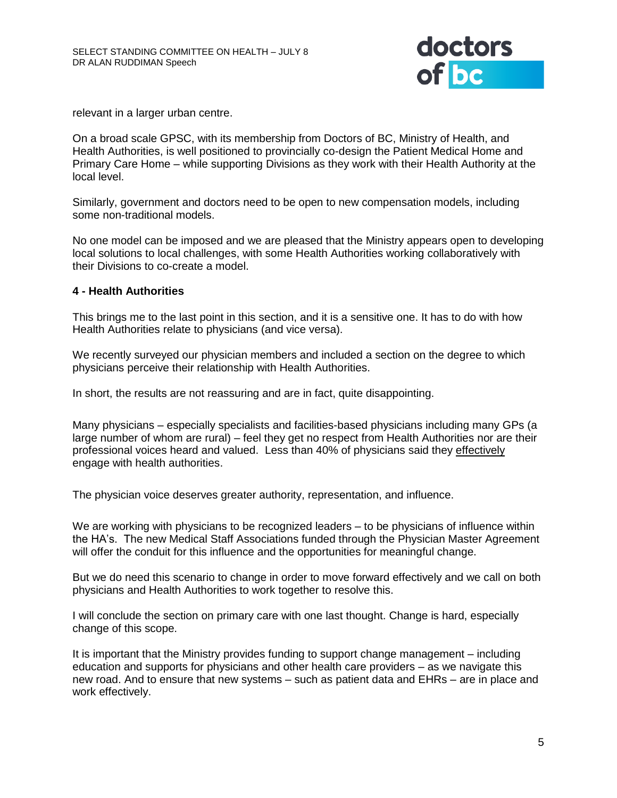

relevant in a larger urban centre.

On a broad scale GPSC, with its membership from Doctors of BC, Ministry of Health, and Health Authorities, is well positioned to provincially co-design the Patient Medical Home and Primary Care Home – while supporting Divisions as they work with their Health Authority at the local level.

Similarly, government and doctors need to be open to new compensation models, including some non-traditional models.

No one model can be imposed and we are pleased that the Ministry appears open to developing local solutions to local challenges, with some Health Authorities working collaboratively with their Divisions to co-create a model.

#### **4 - Health Authorities**

This brings me to the last point in this section, and it is a sensitive one. It has to do with how Health Authorities relate to physicians (and vice versa).

We recently surveyed our physician members and included a section on the degree to which physicians perceive their relationship with Health Authorities.

In short, the results are not reassuring and are in fact, quite disappointing.

Many physicians – especially specialists and facilities-based physicians including many GPs (a large number of whom are rural) – feel they get no respect from Health Authorities nor are their professional voices heard and valued. Less than 40% of physicians said they effectively engage with health authorities.

The physician voice deserves greater authority, representation, and influence.

We are working with physicians to be recognized leaders – to be physicians of influence within the HA's. The new Medical Staff Associations funded through the Physician Master Agreement will offer the conduit for this influence and the opportunities for meaningful change.

But we do need this scenario to change in order to move forward effectively and we call on both physicians and Health Authorities to work together to resolve this.

I will conclude the section on primary care with one last thought. Change is hard, especially change of this scope.

It is important that the Ministry provides funding to support change management – including education and supports for physicians and other health care providers – as we navigate this new road. And to ensure that new systems – such as patient data and EHRs – are in place and work effectively.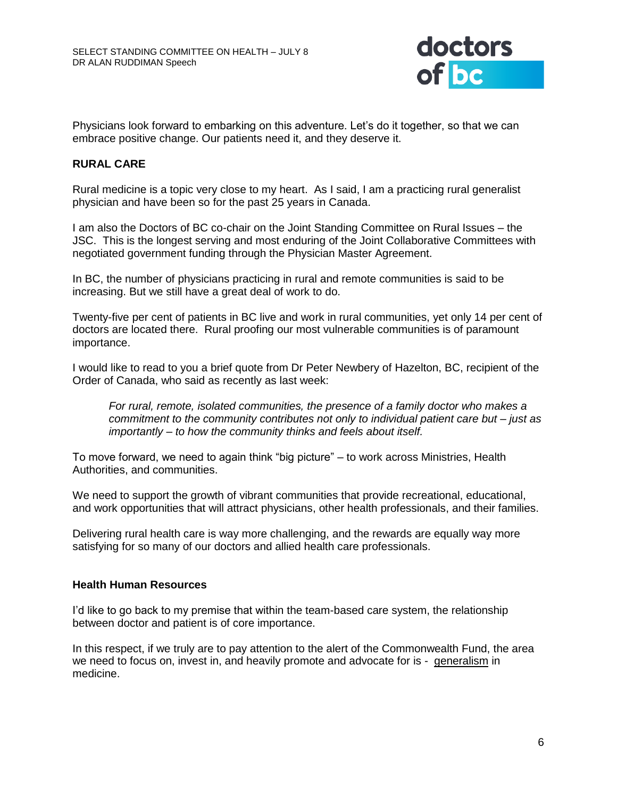

Physicians look forward to embarking on this adventure. Let's do it together, so that we can embrace positive change. Our patients need it, and they deserve it.

## **RURAL CARE**

Rural medicine is a topic very close to my heart. As I said, I am a practicing rural generalist physician and have been so for the past 25 years in Canada.

I am also the Doctors of BC co-chair on the Joint Standing Committee on Rural Issues – the JSC. This is the longest serving and most enduring of the Joint Collaborative Committees with negotiated government funding through the Physician Master Agreement.

In BC, the number of physicians practicing in rural and remote communities is said to be increasing. But we still have a great deal of work to do.

Twenty-five per cent of patients in BC live and work in rural communities, yet only 14 per cent of doctors are located there. Rural proofing our most vulnerable communities is of paramount importance.

I would like to read to you a brief quote from Dr Peter Newbery of Hazelton, BC, recipient of the Order of Canada, who said as recently as last week:

*For rural, remote, isolated communities, the presence of a family doctor who makes a commitment to the community contributes not only to individual patient care but – just as importantly – to how the community thinks and feels about itself.*

To move forward, we need to again think "big picture" – to work across Ministries, Health Authorities, and communities.

We need to support the growth of vibrant communities that provide recreational, educational, and work opportunities that will attract physicians, other health professionals, and their families.

Delivering rural health care is way more challenging, and the rewards are equally way more satisfying for so many of our doctors and allied health care professionals.

#### **Health Human Resources**

I'd like to go back to my premise that within the team-based care system, the relationship between doctor and patient is of core importance.

In this respect, if we truly are to pay attention to the alert of the Commonwealth Fund, the area we need to focus on, invest in, and heavily promote and advocate for is - generalism in medicine.